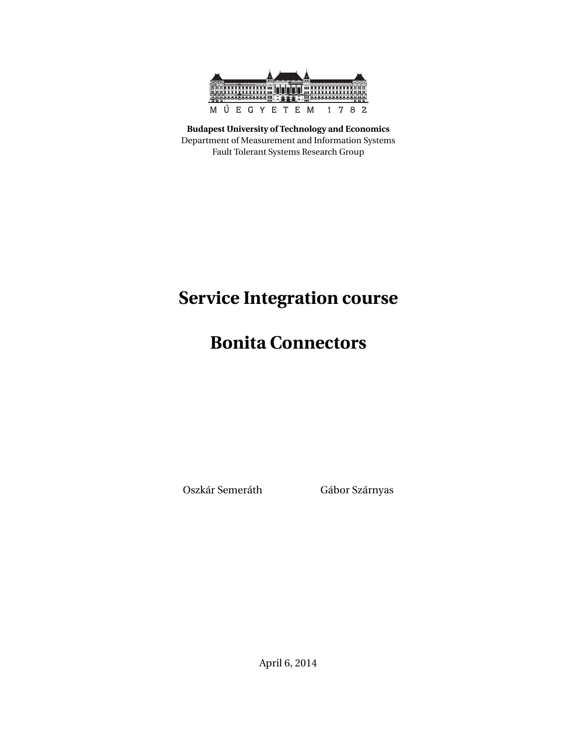

**Budapest University of Technology and Economics** Department of Measurement and Information Systems Fault Tolerant Systems Research Group

# **Service Integration course**

## **Bonita Connectors**

Oszkár Semeráth Gábor Szárnyas

April 6, 2014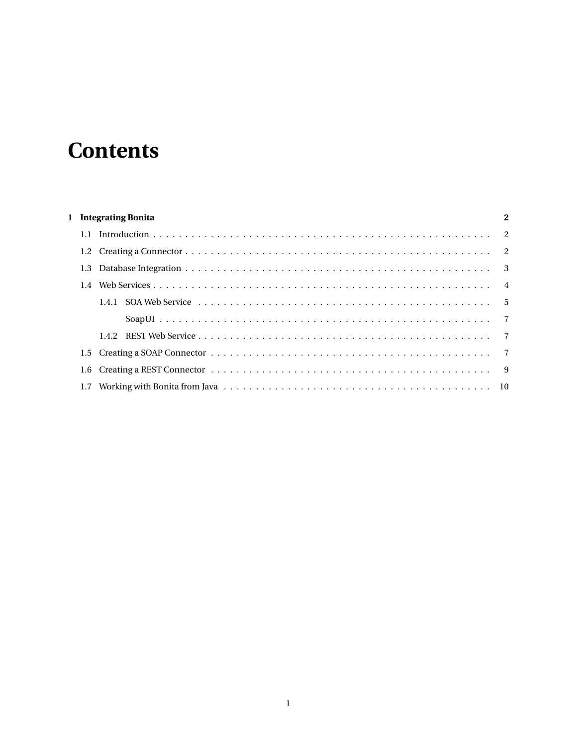# **Contents**

|  | 1 Integrating Bonita |  |  |  |  |
|--|----------------------|--|--|--|--|
|  |                      |  |  |  |  |
|  |                      |  |  |  |  |
|  |                      |  |  |  |  |
|  |                      |  |  |  |  |
|  |                      |  |  |  |  |
|  |                      |  |  |  |  |
|  |                      |  |  |  |  |
|  |                      |  |  |  |  |
|  |                      |  |  |  |  |
|  |                      |  |  |  |  |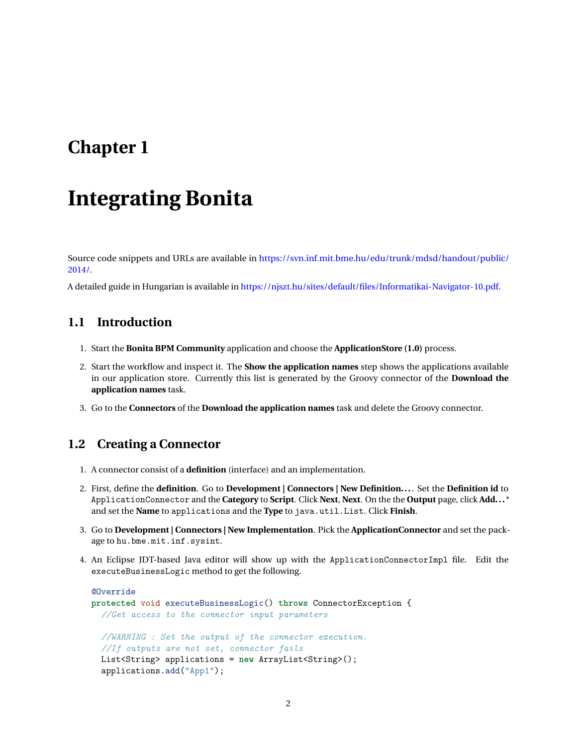### <span id="page-2-0"></span>**Chapter 1**

# **Integrating Bonita**

Source code snippets and URLs are available in [https://svn.inf.mit.bme.hu/edu/trunk/mdsd/handout/public/](https://svn.inf.mit.bme.hu/edu/trunk/mdsd/handout/public/2014/) [2014/.](https://svn.inf.mit.bme.hu/edu/trunk/mdsd/handout/public/2014/)

A detailed guide in Hungarian is available in [https://njszt.hu/sites/default/files/Informatikai-Navigator-10.pdf.](https://njszt.hu/sites/default/files/Informatikai-Navigator-10.pdf)

#### <span id="page-2-1"></span>**1.1 Introduction**

- 1. Start the **Bonita BPM Community** application and choose the **ApplicationStore (1.0)** process.
- 2. Start the workflow and inspect it. The **Show the application names** step shows the applications available in our application store. Currently this list is generated by the Groovy connector of the **Download the application names** task.
- 3. Go to the **Connectors** of the **Download the application names** task and delete the Groovy connector.

#### <span id="page-2-2"></span>**1.2 Creating a Connector**

- 1. A connector consist of a **definition** (interface) and an implementation.
- 2. First, define the **definition**. Go to **Development | Connectors | New Definition...**. Set the **Definition id** to ApplicationConnector and the **Category** to **Script**. Click **Next**, **Next**. On the the **Output** page, click **Add...** \* and set the **Name** to applications and the **Type** to java.util.List. Click **Finish**.
- 3. Go to **Development | Connectors | New Implementation**. Pick the **ApplicationConnector** and set the package to hu.bme.mit.inf.sysint.
- 4. An Eclipse JDT-based Java editor will show up with the ApplicationConnectorImpl file. Edit the executeBusinessLogic method to get the following.

```
@Override
protected void executeBusinessLogic() throws ConnectorException {
  //Get access to the connector input parameters
  //WARNING : Set the output of the connector execution.
  //If outputs are not set, connector fails
 List<String> applications = new ArrayList<String>();
  applications.add("App1");
```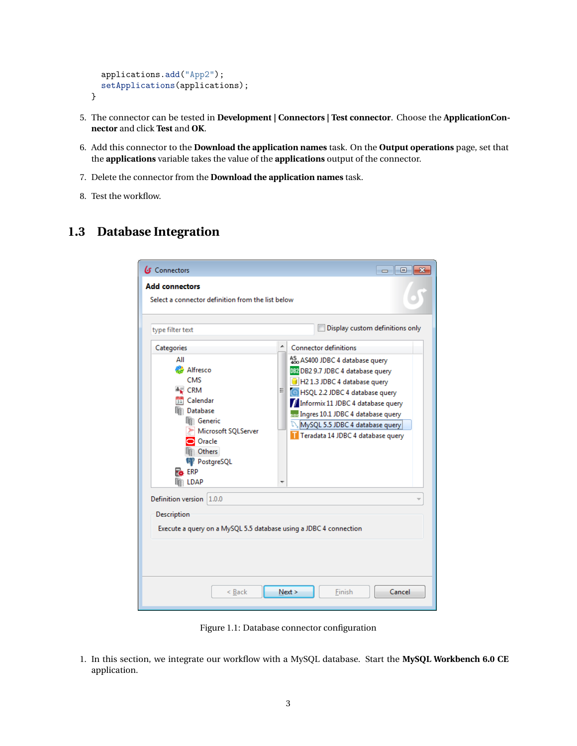```
applications.add("App2");
  setApplications(applications);
}
```
- 5. The connector can be tested in **Development | Connectors | Test connector**. Choose the **ApplicationConnector** and click **Test** and **OK**.
- 6. Add this connector to the **Download the application names** task. On the **Output operations** page, set that the **applications** variable takes the value of the **applications** output of the connector.
- 7. Delete the connector from the **Download the application names** task.
- 8. Test the workflow.

#### <span id="page-3-0"></span>**1.3 Database Integration**

| G Connectors                                                                                                                                                                                      | 冋<br>$\Box$                                                                                                                                                                                                                                                                                                                |  |  |  |  |  |
|---------------------------------------------------------------------------------------------------------------------------------------------------------------------------------------------------|----------------------------------------------------------------------------------------------------------------------------------------------------------------------------------------------------------------------------------------------------------------------------------------------------------------------------|--|--|--|--|--|
| <b>Add connectors</b><br>Select a connector definition from the list below                                                                                                                        |                                                                                                                                                                                                                                                                                                                            |  |  |  |  |  |
| type filter text                                                                                                                                                                                  | Display custom definitions only                                                                                                                                                                                                                                                                                            |  |  |  |  |  |
| ▴<br>Categories<br>ΑII<br>Alfresco<br>CMS<br>$\approx$ CRM<br>Ξ<br><b>Ball</b> Calendar<br>Database<br>Generic<br>Microsoft SQLServer<br>Oracle<br>Others<br><b>W</b> PostgreSQL<br>⊾ erp<br>LDAP | <b>Connector definitions</b><br>AS AS400 JDBC 4 database query<br>082 DB2 9.7 JDBC 4 database query<br>H2 1.3 JDBC 4 database query<br>HSQL 2.2 JDBC 4 database query<br>Informix 11 JDBC 4 database query<br>mm Ingres 10.1 JDBC 4 database query<br>MySQL 5.5 JDBC 4 database query<br>Teradata 14 JDBC 4 database query |  |  |  |  |  |
| Definition version<br>1.0.0<br>Description<br>Execute a query on a MySQL 5.5 database using a JDBC 4 connection                                                                                   |                                                                                                                                                                                                                                                                                                                            |  |  |  |  |  |
| Next<br>< Back<br>Cancel<br>Finish                                                                                                                                                                |                                                                                                                                                                                                                                                                                                                            |  |  |  |  |  |

Figure 1.1: Database connector configuration

1. In this section, we integrate our workflow with a MySQL database. Start the **MySQL Workbench 6.0 CE** application.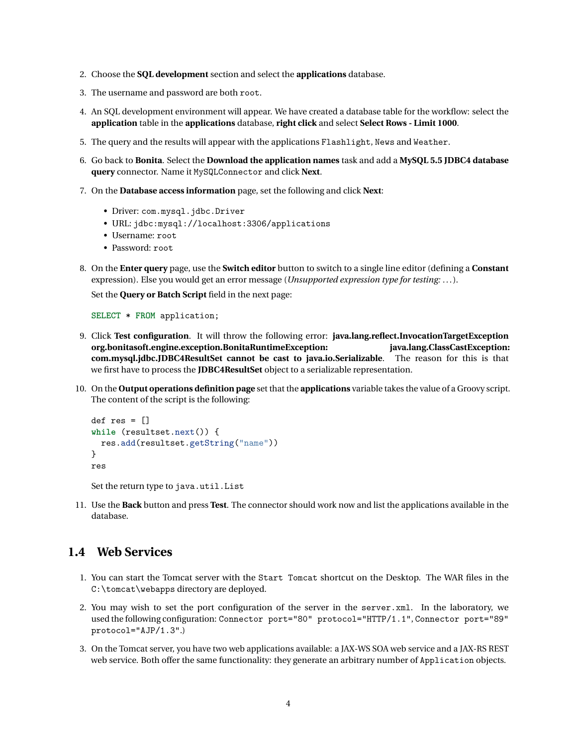- 2. Choose the **SQL development** section and select the **applications** database.
- 3. The username and password are both root.
- 4. An SQL development environment will appear. We have created a database table for the workflow: select the **application** table in the **applications** database, **right click** and select **Select Rows - Limit 1000**.
- 5. The query and the results will appear with the applications Flashlight, News and Weather.
- 6. Go back to **Bonita**. Select the **Download the application names** task and add a **MySQL 5.5 JDBC4 database query** connector. Name it MySQLConnector and click **Next**.
- 7. On the **Database access information** page, set the following and click **Next**:
	- Driver: com.mysql.jdbc.Driver
	- URL: jdbc:mysql://localhost:3306/applications
	- Username: root
	- Password: root
- 8. On the **Enter query** page, use the **Switch editor** button to switch to a single line editor (defining a **Constant** expression). Else you would get an error message (*Unsupported expression type for testing: . . .*).

Set the **Query or Batch Script** field in the next page:

**SELECT** \* **FROM** application;

- 9. Click **Test configuration**. It will throw the following error: **java.lang.reflect.InvocationTargetException org.bonitasoft.engine.exception.BonitaRuntimeException: java.lang.ClassCastException: com.mysql.jdbc.JDBC4ResultSet cannot be cast to java.io.Serializable**. The reason for this is that we first have to process the **JDBC4ResultSet** object to a serializable representation.
- 10. On the **Output operations definition page** set that the **applications** variable takes the value of a Groovy script. The content of the script is the following:

```
def res = []while (resultset.next()) {
  res.add(resultset.getString("name"))
}
res
```
Set the return type to java.util.List

11. Use the **Back** button and press **Test**. The connector should work now and list the applications available in the database.

#### <span id="page-4-0"></span>**1.4 Web Services**

- 1. You can start the Tomcat server with the Start Tomcat shortcut on the Desktop. The WAR files in the C:\tomcat\webapps directory are deployed.
- 2. You may wish to set the port configuration of the server in the server.xml. In the laboratory, we used the following configuration: Connector port="80" protocol="HTTP/1.1", Connector port="89" protocol="AJP/1.3".)
- 3. On the Tomcat server, you have two web applications available: a JAX-WS SOA web service and a JAX-RS REST web service. Both offer the same functionality: they generate an arbitrary number of Application objects.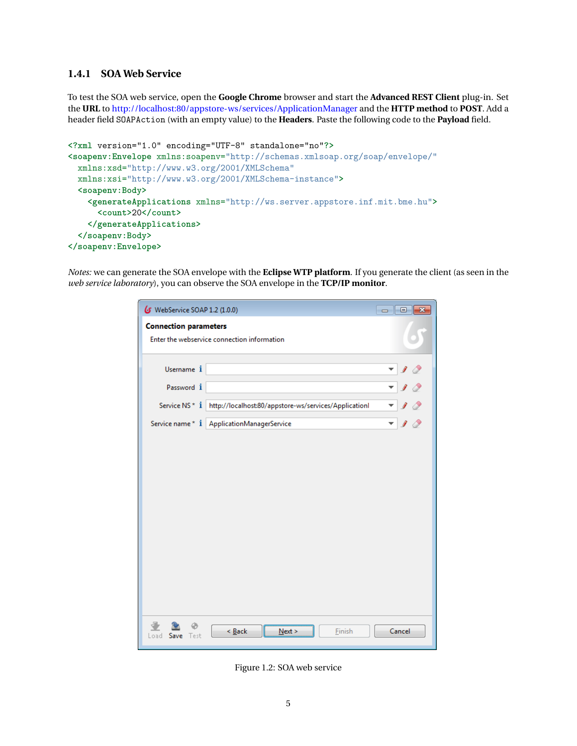#### <span id="page-5-0"></span>**1.4.1 SOA Web Service**

To test the SOA web service, open the **Google Chrome** browser and start the **Advanced REST Client** plug-in. Set the **URL** to <http://localhost:80/appstore-ws/services/ApplicationManager> and the **HTTP method** to **POST**. Add a header field SOAPAction (with an empty value) to the **Headers**. Paste the following code to the **Payload** field.

```
<?xml version="1.0" encoding="UTF-8" standalone="no"?>
<soapenv:Envelope xmlns:soapenv="http://schemas.xmlsoap.org/soap/envelope/"
  xmlns:xsd="http://www.w3.org/2001/XMLSchema"
  xmlns:xsi="http://www.w3.org/2001/XMLSchema-instance">
  <soapenv:Body>
    <generateApplications xmlns="http://ws.server.appstore.inf.mit.bme.hu">
      <count>20</count>
    </generateApplications>
  </soapenv:Body>
</soapenv:Envelope>
```
*Notes:* we can generate the SOA envelope with the **Eclipse WTP platform**. If you generate the client (as seen in the *web service laboratory*), you can observe the SOA envelope in the **TCP/IP monitor**.

| WebService SOAP 1.2 (1.0.0)<br>$\begin{array}{c c c c c c} \hline \multicolumn{3}{c }{\mathbf{C}} & \multicolumn{3}{c }{\mathbf{C}} & \multicolumn{3}{c }{\mathbf{X}} \\\hline \multicolumn{3}{c }{\mathbf{C}} & \multicolumn{3}{c }{\mathbf{C}} & \multicolumn{3}{c }{\mathbf{S}} & \multicolumn{3}{c }{\mathbf{X}} \\\hline \multicolumn{3}{c }{\mathbf{C}} & \multicolumn{3}{c }{\mathbf{C}} & \multicolumn{3}{c }{\mathbf{S}} & \multicolumn{3}{c }{\mathbf{S}} \\\hline \multicolumn$ |        |  |  |  |  |  |
|--------------------------------------------------------------------------------------------------------------------------------------------------------------------------------------------------------------------------------------------------------------------------------------------------------------------------------------------------------------------------------------------------------------------------------------------------------------------------------------------|--------|--|--|--|--|--|
| <b>Connection parameters</b>                                                                                                                                                                                                                                                                                                                                                                                                                                                               |        |  |  |  |  |  |
| Enter the webservice connection information                                                                                                                                                                                                                                                                                                                                                                                                                                                |        |  |  |  |  |  |
|                                                                                                                                                                                                                                                                                                                                                                                                                                                                                            |        |  |  |  |  |  |
| Username i                                                                                                                                                                                                                                                                                                                                                                                                                                                                                 |        |  |  |  |  |  |
| Password i                                                                                                                                                                                                                                                                                                                                                                                                                                                                                 |        |  |  |  |  |  |
| Service NS * i<br>http://localhost:80/appstore-ws/services/Applicationl                                                                                                                                                                                                                                                                                                                                                                                                                    |        |  |  |  |  |  |
| Service name* i ApplicationManagerService                                                                                                                                                                                                                                                                                                                                                                                                                                                  |        |  |  |  |  |  |
|                                                                                                                                                                                                                                                                                                                                                                                                                                                                                            |        |  |  |  |  |  |
|                                                                                                                                                                                                                                                                                                                                                                                                                                                                                            |        |  |  |  |  |  |
|                                                                                                                                                                                                                                                                                                                                                                                                                                                                                            |        |  |  |  |  |  |
|                                                                                                                                                                                                                                                                                                                                                                                                                                                                                            |        |  |  |  |  |  |
|                                                                                                                                                                                                                                                                                                                                                                                                                                                                                            |        |  |  |  |  |  |
|                                                                                                                                                                                                                                                                                                                                                                                                                                                                                            |        |  |  |  |  |  |
|                                                                                                                                                                                                                                                                                                                                                                                                                                                                                            |        |  |  |  |  |  |
|                                                                                                                                                                                                                                                                                                                                                                                                                                                                                            |        |  |  |  |  |  |
|                                                                                                                                                                                                                                                                                                                                                                                                                                                                                            |        |  |  |  |  |  |
|                                                                                                                                                                                                                                                                                                                                                                                                                                                                                            |        |  |  |  |  |  |
|                                                                                                                                                                                                                                                                                                                                                                                                                                                                                            |        |  |  |  |  |  |
| $\leq$ Back<br>Finish<br>Next ><br>Load Save Test                                                                                                                                                                                                                                                                                                                                                                                                                                          | Cancel |  |  |  |  |  |

Figure 1.2: SOA web service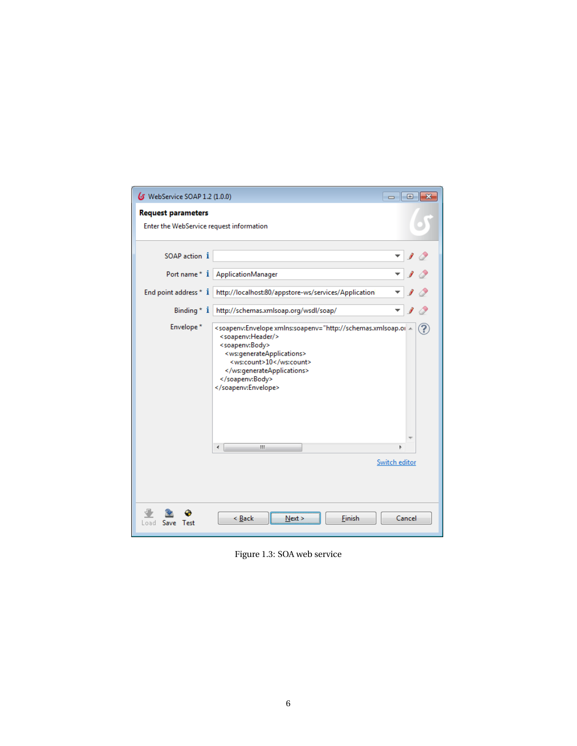| <b>6</b> WebService SOAP 1.2 (1.0.0)     |                                                                                                                                                                                                                                                 | <u>- 19</u>   |  |  |  |  |  |
|------------------------------------------|-------------------------------------------------------------------------------------------------------------------------------------------------------------------------------------------------------------------------------------------------|---------------|--|--|--|--|--|
| <b>Request parameters</b>                |                                                                                                                                                                                                                                                 |               |  |  |  |  |  |
| Enter the WebService request information |                                                                                                                                                                                                                                                 |               |  |  |  |  |  |
|                                          |                                                                                                                                                                                                                                                 |               |  |  |  |  |  |
| SOAP action 1                            |                                                                                                                                                                                                                                                 |               |  |  |  |  |  |
| Port name* i                             | <b>ApplicationManager</b>                                                                                                                                                                                                                       |               |  |  |  |  |  |
| End point address * i                    | http://localhost:80/appstore-ws/services/Application                                                                                                                                                                                            |               |  |  |  |  |  |
| Binding $*$ $i$                          | http://schemas.xmlsoap.org/wsdl/soap/                                                                                                                                                                                                           |               |  |  |  |  |  |
| Envelope*                                | <soapenv:Envelope xmlns:soapenv="http://schemas.xmlsoap.or <<br> <soapenv:header></soapenv:header><br><soapenv:body><br/><ws:generateapplications><br/><ws:count>10</ws:count><br/></ws:generateapplications><br/></soapenv:body><br><br>Ш<br>∢ |               |  |  |  |  |  |
|                                          |                                                                                                                                                                                                                                                 | Switch editor |  |  |  |  |  |
|                                          |                                                                                                                                                                                                                                                 |               |  |  |  |  |  |
|                                          |                                                                                                                                                                                                                                                 |               |  |  |  |  |  |
| Test<br>Save<br>.oad                     | Finish<br>$\leq$ Back<br>Next >                                                                                                                                                                                                                 | Cancel        |  |  |  |  |  |

Figure 1.3: SOA web service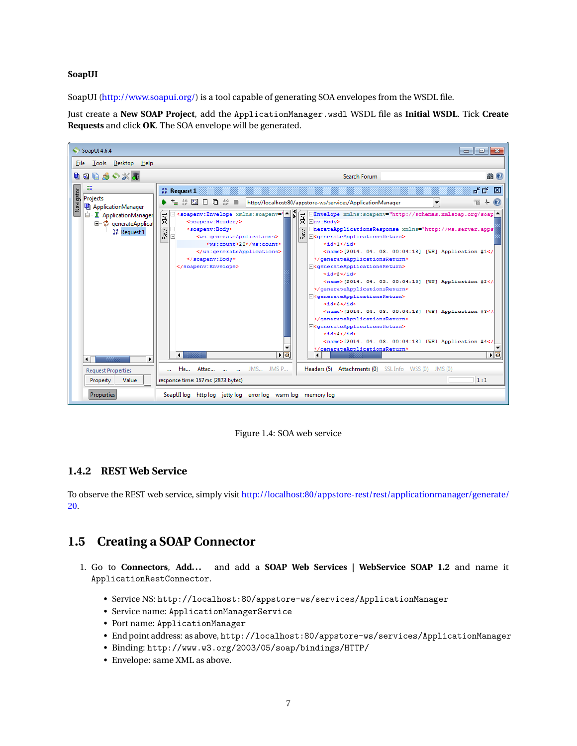#### <span id="page-7-0"></span>**SoapUI**

SoapUI [\(http://www.soapui.org/\)](http://www.soapui.org/) is a tool capable of generating SOA envelopes from the WSDL file.

Just create a **New SOAP Project**, add the ApplicationManager.wsdl WSDL file as **Initial WSDL**. Tick **Create Requests** and click **OK**. The SOA envelope will be generated.



Figure 1.4: SOA web service

#### <span id="page-7-1"></span>**1.4.2 REST Web Service**

To observe the REST web service, simply visit [http://localhost:80/appstore-rest/rest/applicationmanager/generate/](http://localhost:80/appstore-rest/rest/applicationmanager/generate/20) [20.](http://localhost:80/appstore-rest/rest/applicationmanager/generate/20)

#### <span id="page-7-2"></span>**1.5 Creating a SOAP Connector**

- 1. Go to **Connectors**, **Add...** and add a **SOAP Web Services | WebService SOAP 1.2** and name it ApplicationRestConnector.
	- Service NS: http://localhost:80/appstore-ws/services/ApplicationManager
	- Service name: ApplicationManagerService
	- Port name: ApplicationManager
	- End point address: as above, http://localhost:80/appstore-ws/services/ApplicationManager
	- Binding: http://www.w3.org/2003/05/soap/bindings/HTTP/
	- Envelope: same XML as above.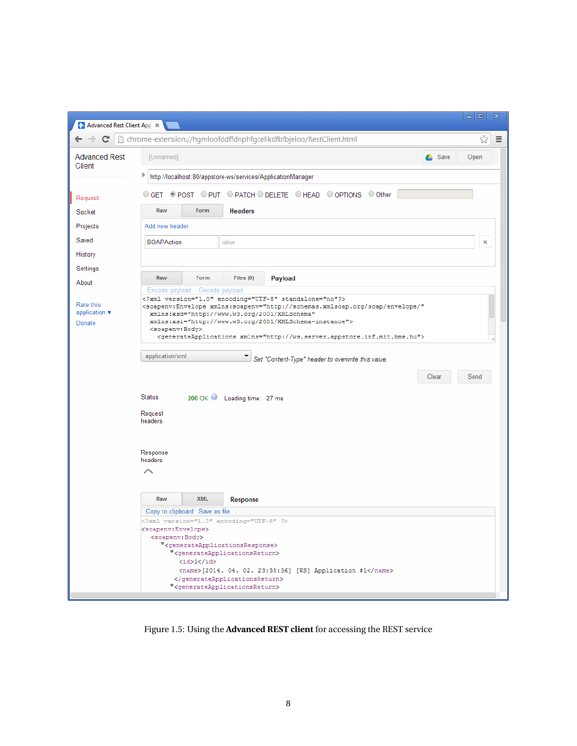| $\Box$<br>x<br>$\Rightarrow$<br>A Advanced Rest Client App X                         |                                                                                                                                                                                                                                                                                                                                                                                                              |                       |  |  |  |  |  |  |
|--------------------------------------------------------------------------------------|--------------------------------------------------------------------------------------------------------------------------------------------------------------------------------------------------------------------------------------------------------------------------------------------------------------------------------------------------------------------------------------------------------------|-----------------------|--|--|--|--|--|--|
| ☆<br>C<br>htchrome-extension://hgmloofddffdnphfgcellkdfbfbjeloo/RestClient.html<br>Ξ |                                                                                                                                                                                                                                                                                                                                                                                                              |                       |  |  |  |  |  |  |
| <b>Advanced Rest</b><br>Client                                                       | [Unnamed]                                                                                                                                                                                                                                                                                                                                                                                                    | <b>A</b> Save<br>Open |  |  |  |  |  |  |
|                                                                                      | Þ<br>http://localhost:80/appstore-ws/services/ApplicationManager                                                                                                                                                                                                                                                                                                                                             |                       |  |  |  |  |  |  |
| O GET © POST O PUT O PATCH O DELETE O HEAD O OPTIONS O Other<br>Request              |                                                                                                                                                                                                                                                                                                                                                                                                              |                       |  |  |  |  |  |  |
| Socket                                                                               | Raw<br>Form<br><b>Headers</b>                                                                                                                                                                                                                                                                                                                                                                                |                       |  |  |  |  |  |  |
| Projects                                                                             | Add new header                                                                                                                                                                                                                                                                                                                                                                                               |                       |  |  |  |  |  |  |
| Saved                                                                                | SOAPAction<br>value                                                                                                                                                                                                                                                                                                                                                                                          | x                     |  |  |  |  |  |  |
| History                                                                              |                                                                                                                                                                                                                                                                                                                                                                                                              |                       |  |  |  |  |  |  |
| Settings                                                                             |                                                                                                                                                                                                                                                                                                                                                                                                              |                       |  |  |  |  |  |  |
| About                                                                                | Raw<br>Form<br>Files (0)<br>Payload<br>Decode payload<br>Encode payload                                                                                                                                                                                                                                                                                                                                      |                       |  |  |  |  |  |  |
| Rate this<br>application $\blacktriangledown$<br>Donate                              | xml version="1.0" encoding="UTF-8" standalone="no"?<br><soapenv:envelope <br="" xmlns:soapenv="http://schemas.xmlsoap.org/soap/envelope/">xmlns:xsd="http://www.w3.org/2001/XMLSchema"<br/>xmlns:xsi="http://www.w3.org/2001/XMLSchema-instance"&gt;<br/><soapenv:body><br/><generateapplications xmlns="http://ws.server.appstore.inf.mit.bme.hu"></generateapplications></soapenv:body></soapenv:envelope> |                       |  |  |  |  |  |  |
|                                                                                      | application/xml<br>$\bullet$ Set "Content-Type" header to overwrite this value.                                                                                                                                                                                                                                                                                                                              |                       |  |  |  |  |  |  |
|                                                                                      |                                                                                                                                                                                                                                                                                                                                                                                                              | Clear<br>Send         |  |  |  |  |  |  |
|                                                                                      |                                                                                                                                                                                                                                                                                                                                                                                                              |                       |  |  |  |  |  |  |
|                                                                                      | <b>Status</b><br>200 OK Loading time: 27 ms                                                                                                                                                                                                                                                                                                                                                                  |                       |  |  |  |  |  |  |
|                                                                                      | Request<br>headers                                                                                                                                                                                                                                                                                                                                                                                           |                       |  |  |  |  |  |  |
|                                                                                      | Response<br>headers                                                                                                                                                                                                                                                                                                                                                                                          |                       |  |  |  |  |  |  |
|                                                                                      |                                                                                                                                                                                                                                                                                                                                                                                                              |                       |  |  |  |  |  |  |
|                                                                                      | <b>XML</b><br>Raw<br>Response                                                                                                                                                                                                                                                                                                                                                                                |                       |  |  |  |  |  |  |
|                                                                                      | Copy to clipboard Save as file<br>xml version="1.0" encoding="UTF-8" ?                                                                                                                                                                                                                                                                                                                                       |                       |  |  |  |  |  |  |
|                                                                                      | <soapenv:envelope><br/><soapenv:body></soapenv:body></soapenv:envelope>                                                                                                                                                                                                                                                                                                                                      |                       |  |  |  |  |  |  |
|                                                                                      | * <generateapplicationsresponse></generateapplicationsresponse>                                                                                                                                                                                                                                                                                                                                              |                       |  |  |  |  |  |  |
|                                                                                      | V <generateapplicationsreturn><br/><id>1</id></generateapplicationsreturn>                                                                                                                                                                                                                                                                                                                                   |                       |  |  |  |  |  |  |
|                                                                                      | <name>[2014. 04. 02. 23:35:36] [WS] Application #1</name><br>                                                                                                                                                                                                                                                                                                                                                |                       |  |  |  |  |  |  |
|                                                                                      | <generateapplicationsreturn></generateapplicationsreturn>                                                                                                                                                                                                                                                                                                                                                    |                       |  |  |  |  |  |  |

Figure 1.5: Using the **Advanced REST client** for accessing the REST service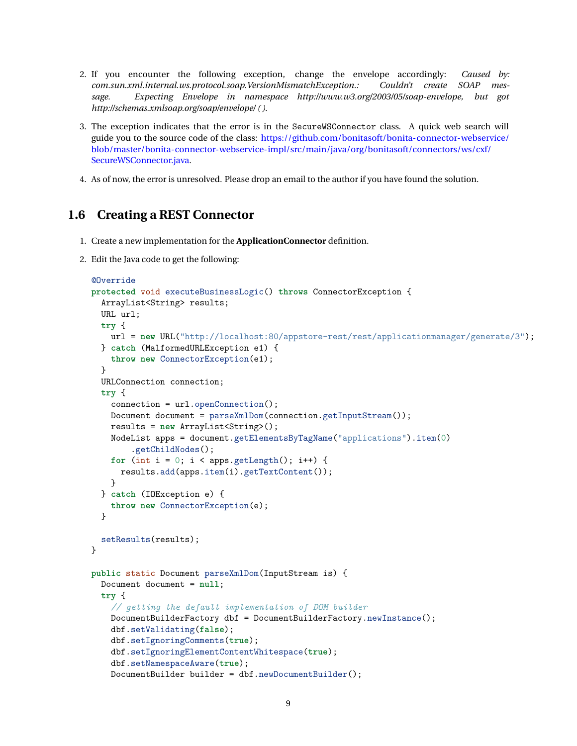- 2. If you encounter the following exception, change the envelope accordingly: *Caused by: com.sun.xml.internal.ws.protocol.soap.VersionMismatchException.: Couldn't create SOAP message. Expecting Envelope in namespace http://www.w3.org/2003/05/soap-envelope, but got http://schemas.xmlsoap.org/soap/envelope/ ( )*.
- 3. The exception indicates that the error is in the SecureWSConnector class. A quick web search will guide you to the source code of the class: [https://github.com/bonitasoft/bonita-connector-webservice/](https://github.com/bonitasoft/bonita-connector-webservice/blob/master/bonita-connector-webservice-impl/src/main/java/org/bonitasoft/connectors/ws/cxf/SecureWSConnector.java) [blob/master/bonita-connector-webservice-impl/src/main/java/org/bonitasoft/connectors/ws/cxf/](https://github.com/bonitasoft/bonita-connector-webservice/blob/master/bonita-connector-webservice-impl/src/main/java/org/bonitasoft/connectors/ws/cxf/SecureWSConnector.java) [SecureWSConnector.java.](https://github.com/bonitasoft/bonita-connector-webservice/blob/master/bonita-connector-webservice-impl/src/main/java/org/bonitasoft/connectors/ws/cxf/SecureWSConnector.java)
- 4. As of now, the error is unresolved. Please drop an email to the author if you have found the solution.

#### <span id="page-9-0"></span>**1.6 Creating a REST Connector**

- 1. Create a new implementation for the **ApplicationConnector** definition.
- 2. Edit the Java code to get the following:

```
@Override
protected void executeBusinessLogic() throws ConnectorException {
  ArrayList<String> results;
 URL url;
 try {
   url = new URL("http://localhost:80/appstore-rest/rest/applicationmanager/generate/3");
 } catch (MalformedURLException e1) {
    throw new ConnectorException(e1);
  }
 URLConnection connection;
  try {
    connection = url.openConnection();
   Document document = parseXmlDom(connection.getInputStream());
   results = new ArrayList<String>();
    NodeList apps = document.getElementsByTagName("applications").item(0)
        .getChildNodes();
    for (int i = 0; i < apps.getLength(); i++) {
      results.add(apps.item(i).getTextContent());
    }
  } catch (IOException e) {
    throw new ConnectorException(e);
 }
  setResults(results);
}
public static Document parseXmlDom(InputStream is) {
 Document document = null;
  try {
    // getting the default implementation of DOM builder
   DocumentBuilderFactory dbf = DocumentBuilderFactory.newInstance();
    dbf.setValidating(false);
    dbf.setIgnoringComments(true);
    dbf.setIgnoringElementContentWhitespace(true);
    dbf.setNamespaceAware(true);
    DocumentBuilder builder = dbf.newDocumentBuilder();
```